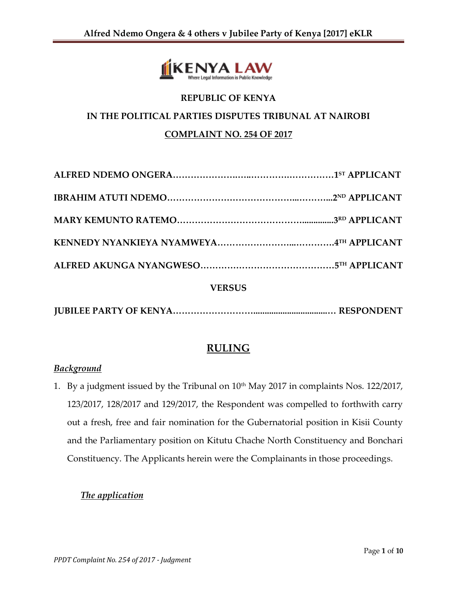

### **REPUBLIC OF KENYA**

## **IN THE POLITICAL PARTIES DISPUTES TRIBUNAL AT NAIROBI**

#### **COMPLAINT NO. 254 OF 2017**

| <b>VERSUS</b> |  |
|---------------|--|

**JUBILEE PARTY OF KENYA……………………….................................… RESPONDENT**

## **RULING**

#### *Background*

1. By a judgment issued by the Tribunal on  $10^{th}$  May 2017 in complaints Nos. 122/2017, 123/2017, 128/2017 and 129/2017, the Respondent was compelled to forthwith carry out a fresh, free and fair nomination for the Gubernatorial position in Kisii County and the Parliamentary position on Kitutu Chache North Constituency and Bonchari Constituency. The Applicants herein were the Complainants in those proceedings.

#### *The application*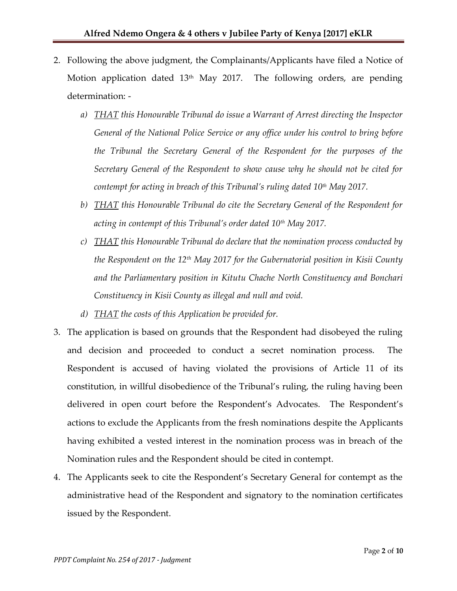- 2. Following the above judgment, the Complainants/Applicants have filed a Notice of Motion application dated 13<sup>th</sup> May 2017. The following orders, are pending determination:
	- *a) THAT this Honourable Tribunal do issue a Warrant of Arrest directing the Inspector General of the National Police Service or any office under his control to bring before the Tribunal the Secretary General of the Respondent for the purposes of the Secretary General of the Respondent to show cause why he should not be cited for contempt for acting in breach of this Tribunal's ruling dated 10th May 2017.*
	- *b) THAT this Honourable Tribunal do cite the Secretary General of the Respondent for acting in contempt of this Tribunal's order dated 10th May 2017.*
	- *c) THAT this Honourable Tribunal do declare that the nomination process conducted by the Respondent on the 12th May 2017 for the Gubernatorial position in Kisii County and the Parliamentary position in Kitutu Chache North Constituency and Bonchari Constituency in Kisii County as illegal and null and void.*
	- *d) THAT the costs of this Application be provided for.*
- 3. The application is based on grounds that the Respondent had disobeyed the ruling and decision and proceeded to conduct a secret nomination process. The Respondent is accused of having violated the provisions of Article 11 of its constitution, in willful disobedience of the Tribunal's ruling, the ruling having been delivered in open court before the Respondent's Advocates. The Respondent's actions to exclude the Applicants from the fresh nominations despite the Applicants having exhibited a vested interest in the nomination process was in breach of the Nomination rules and the Respondent should be cited in contempt.
- 4. The Applicants seek to cite the Respondent's Secretary General for contempt as the administrative head of the Respondent and signatory to the nomination certificates issued by the Respondent.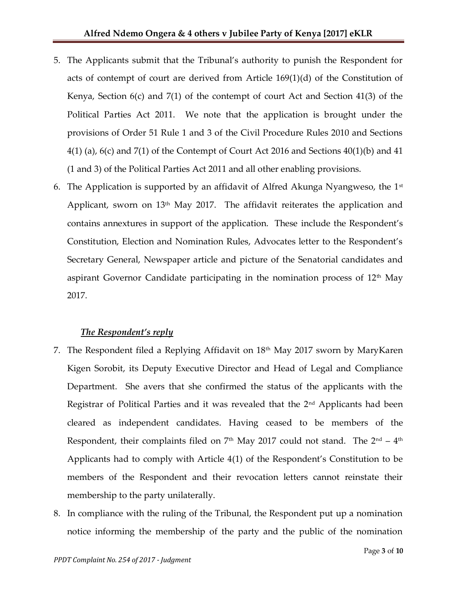- 5. The Applicants submit that the Tribunal's authority to punish the Respondent for acts of contempt of court are derived from Article 169(1)(d) of the Constitution of Kenya, Section 6(c) and 7(1) of the contempt of court Act and Section 41(3) of the Political Parties Act 2011. We note that the application is brought under the provisions of Order 51 Rule 1 and 3 of the Civil Procedure Rules 2010 and Sections 4(1) (a), 6(c) and 7(1) of the Contempt of Court Act 2016 and Sections 40(1)(b) and 41 (1 and 3) of the Political Parties Act 2011 and all other enabling provisions.
- 6. The Application is supported by an affidavit of Alfred Akunga Nyangweso, the  $1<sup>st</sup>$ Applicant, sworn on 13<sup>th</sup> May 2017. The affidavit reiterates the application and contains annextures in support of the application. These include the Respondent's Constitution, Election and Nomination Rules, Advocates letter to the Respondent's Secretary General, Newspaper article and picture of the Senatorial candidates and aspirant Governor Candidate participating in the nomination process of  $12<sup>th</sup>$  May 2017.

#### *The Respondent's reply*

- 7. The Respondent filed a Replying Affidavit on 18th May 2017 sworn by MaryKaren Kigen Sorobit, its Deputy Executive Director and Head of Legal and Compliance Department. She avers that she confirmed the status of the applicants with the Registrar of Political Parties and it was revealed that the  $2<sup>nd</sup>$  Applicants had been cleared as independent candidates. Having ceased to be members of the Respondent, their complaints filed on 7th May 2017 could not stand. The 2nd –  $4^\text{th}$ Applicants had to comply with Article 4(1) of the Respondent's Constitution to be members of the Respondent and their revocation letters cannot reinstate their membership to the party unilaterally.
- 8. In compliance with the ruling of the Tribunal, the Respondent put up a nomination notice informing the membership of the party and the public of the nomination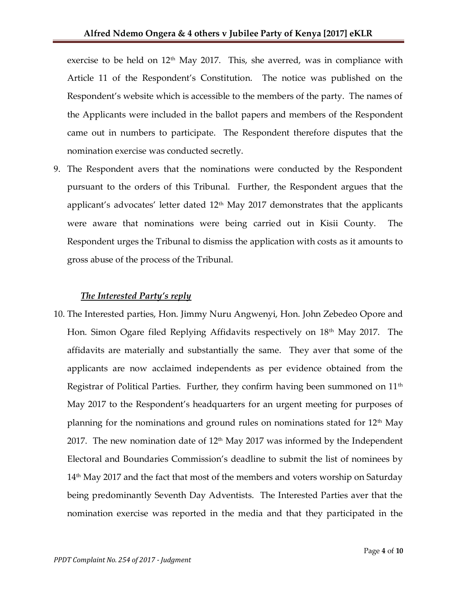exercise to be held on  $12<sup>th</sup>$  May 2017. This, she averred, was in compliance with Article 11 of the Respondent's Constitution. The notice was published on the Respondent's website which is accessible to the members of the party. The names of the Applicants were included in the ballot papers and members of the Respondent came out in numbers to participate. The Respondent therefore disputes that the nomination exercise was conducted secretly.

9. The Respondent avers that the nominations were conducted by the Respondent pursuant to the orders of this Tribunal. Further, the Respondent argues that the applicant's advocates' letter dated  $12<sup>th</sup>$  May 2017 demonstrates that the applicants were aware that nominations were being carried out in Kisii County. The Respondent urges the Tribunal to dismiss the application with costs as it amounts to gross abuse of the process of the Tribunal.

#### *The Interested Party's reply*

10. The Interested parties, Hon. Jimmy Nuru Angwenyi, Hon. John Zebedeo Opore and Hon. Simon Ogare filed Replying Affidavits respectively on 18<sup>th</sup> May 2017. The affidavits are materially and substantially the same. They aver that some of the applicants are now acclaimed independents as per evidence obtained from the Registrar of Political Parties. Further, they confirm having been summoned on  $11<sup>th</sup>$ May 2017 to the Respondent's headquarters for an urgent meeting for purposes of planning for the nominations and ground rules on nominations stated for  $12<sup>th</sup>$  May 2017. The new nomination date of  $12<sup>th</sup>$  May 2017 was informed by the Independent Electoral and Boundaries Commission's deadline to submit the list of nominees by  $14<sup>th</sup>$  May 2017 and the fact that most of the members and voters worship on Saturday being predominantly Seventh Day Adventists. The Interested Parties aver that the nomination exercise was reported in the media and that they participated in the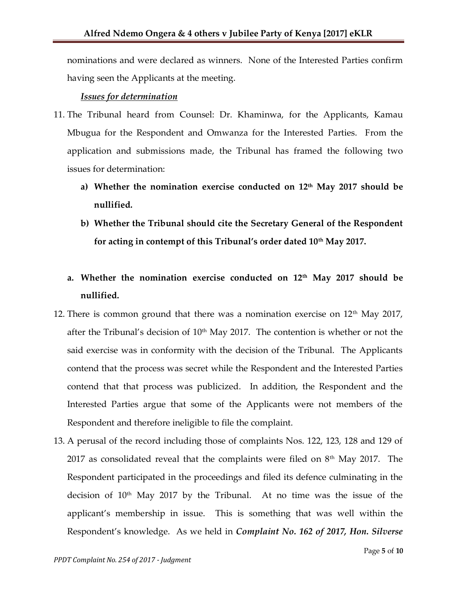nominations and were declared as winners. None of the Interested Parties confirm having seen the Applicants at the meeting.

#### *Issues for determination*

- 11. The Tribunal heard from Counsel: Dr. Khaminwa, for the Applicants, Kamau Mbugua for the Respondent and Omwanza for the Interested Parties. From the application and submissions made, the Tribunal has framed the following two issues for determination:
	- **a) Whether the nomination exercise conducted on 12th May 2017 should be nullified.**
	- **b) Whether the Tribunal should cite the Secretary General of the Respondent for acting in contempt of this Tribunal's order dated 10th May 2017.**

# **a. Whether the nomination exercise conducted on 12th May 2017 should be nullified.**

- 12. There is common ground that there was a nomination exercise on  $12<sup>th</sup>$  May 2017, after the Tribunal's decision of  $10<sup>th</sup>$  May 2017. The contention is whether or not the said exercise was in conformity with the decision of the Tribunal. The Applicants contend that the process was secret while the Respondent and the Interested Parties contend that that process was publicized. In addition, the Respondent and the Interested Parties argue that some of the Applicants were not members of the Respondent and therefore ineligible to file the complaint.
- 13. A perusal of the record including those of complaints Nos. 122, 123, 128 and 129 of 2017 as consolidated reveal that the complaints were filed on  $8<sup>th</sup>$  May 2017. The Respondent participated in the proceedings and filed its defence culminating in the decision of 10<sup>th</sup> May 2017 by the Tribunal. At no time was the issue of the applicant's membership in issue. This is something that was well within the Respondent's knowledge. As we held in *Complaint No. 162 of 2017, Hon. Silverse*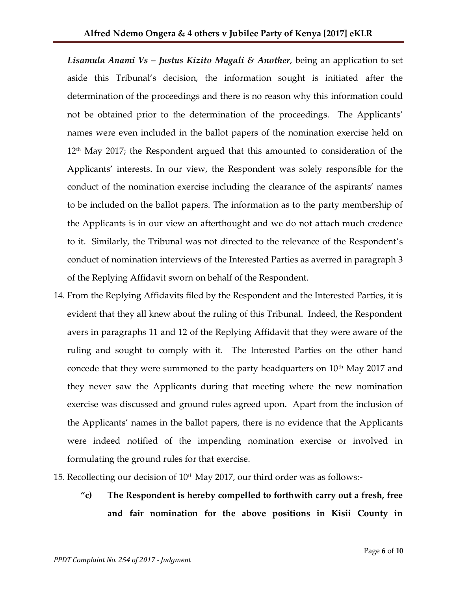*Lisamula Anami Vs – Justus Kizito Mugali & Another*, being an application to set aside this Tribunal's decision, the information sought is initiated after the determination of the proceedings and there is no reason why this information could not be obtained prior to the determination of the proceedings. The Applicants' names were even included in the ballot papers of the nomination exercise held on  $12<sup>th</sup>$  May 2017; the Respondent argued that this amounted to consideration of the Applicants' interests. In our view, the Respondent was solely responsible for the conduct of the nomination exercise including the clearance of the aspirants' names to be included on the ballot papers. The information as to the party membership of the Applicants is in our view an afterthought and we do not attach much credence to it. Similarly, the Tribunal was not directed to the relevance of the Respondent's conduct of nomination interviews of the Interested Parties as averred in paragraph 3 of the Replying Affidavit sworn on behalf of the Respondent.

- 14. From the Replying Affidavits filed by the Respondent and the Interested Parties, it is evident that they all knew about the ruling of this Tribunal. Indeed, the Respondent avers in paragraphs 11 and 12 of the Replying Affidavit that they were aware of the ruling and sought to comply with it. The Interested Parties on the other hand concede that they were summoned to the party headquarters on  $10<sup>th</sup>$  May 2017 and they never saw the Applicants during that meeting where the new nomination exercise was discussed and ground rules agreed upon. Apart from the inclusion of the Applicants' names in the ballot papers, there is no evidence that the Applicants were indeed notified of the impending nomination exercise or involved in formulating the ground rules for that exercise.
- 15. Recollecting our decision of  $10<sup>th</sup>$  May 2017, our third order was as follows:-
	- **"c) The Respondent is hereby compelled to forthwith carry out a fresh, free and fair nomination for the above positions in Kisii County in**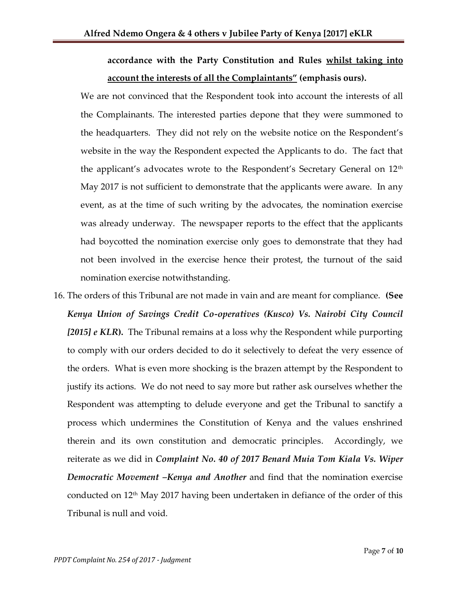# **accordance with the Party Constitution and Rules whilst taking into account the interests of all the Complaintants" (emphasis ours).**

We are not convinced that the Respondent took into account the interests of all the Complainants. The interested parties depone that they were summoned to the headquarters. They did not rely on the website notice on the Respondent's website in the way the Respondent expected the Applicants to do. The fact that the applicant's advocates wrote to the Respondent's Secretary General on 12th May 2017 is not sufficient to demonstrate that the applicants were aware. In any event, as at the time of such writing by the advocates, the nomination exercise was already underway. The newspaper reports to the effect that the applicants had boycotted the nomination exercise only goes to demonstrate that they had not been involved in the exercise hence their protest, the turnout of the said nomination exercise notwithstanding.

16. The orders of this Tribunal are not made in vain and are meant for compliance. **(See**  *Kenya Union of Savings Credit Co-operatives (Kusco) Vs. Nairobi City Council [2015] e KLR***).** The Tribunal remains at a loss why the Respondent while purporting to comply with our orders decided to do it selectively to defeat the very essence of the orders. What is even more shocking is the brazen attempt by the Respondent to justify its actions. We do not need to say more but rather ask ourselves whether the Respondent was attempting to delude everyone and get the Tribunal to sanctify a process which undermines the Constitution of Kenya and the values enshrined therein and its own constitution and democratic principles. Accordingly, we reiterate as we did in *Complaint No. 40 of 2017 Benard Muia Tom Kiala Vs. Wiper Democratic Movement –Kenya and Another* and find that the nomination exercise conducted on 12<sup>th</sup> May 2017 having been undertaken in defiance of the order of this Tribunal is null and void.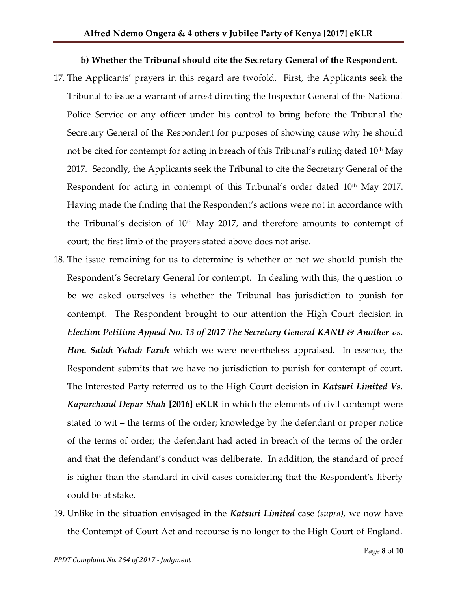#### **b) Whether the Tribunal should cite the Secretary General of the Respondent.**

- 17. The Applicants' prayers in this regard are twofold. First, the Applicants seek the Tribunal to issue a warrant of arrest directing the Inspector General of the National Police Service or any officer under his control to bring before the Tribunal the Secretary General of the Respondent for purposes of showing cause why he should not be cited for contempt for acting in breach of this Tribunal's ruling dated  $10<sup>th</sup>$  May 2017. Secondly, the Applicants seek the Tribunal to cite the Secretary General of the Respondent for acting in contempt of this Tribunal's order dated 10<sup>th</sup> May 2017. Having made the finding that the Respondent's actions were not in accordance with the Tribunal's decision of  $10<sup>th</sup>$  May 2017, and therefore amounts to contempt of court; the first limb of the prayers stated above does not arise.
- 18. The issue remaining for us to determine is whether or not we should punish the Respondent's Secretary General for contempt. In dealing with this, the question to be we asked ourselves is whether the Tribunal has jurisdiction to punish for contempt. The Respondent brought to our attention the High Court decision in *Election Petition Appeal No. 13 of 2017 The Secretary General KANU & Another vs. Hon. Salah Yakub Farah* which we were nevertheless appraised. In essence, the Respondent submits that we have no jurisdiction to punish for contempt of court. The Interested Party referred us to the High Court decision in *Katsuri Limited Vs. Kapurchand Depar Shah* **[2016] eKLR** in which the elements of civil contempt were stated to wit – the terms of the order; knowledge by the defendant or proper notice of the terms of order; the defendant had acted in breach of the terms of the order and that the defendant's conduct was deliberate. In addition, the standard of proof is higher than the standard in civil cases considering that the Respondent's liberty could be at stake.
- 19. Unlike in the situation envisaged in the *Katsuri Limited* case *(supra),* we now have the Contempt of Court Act and recourse is no longer to the High Court of England.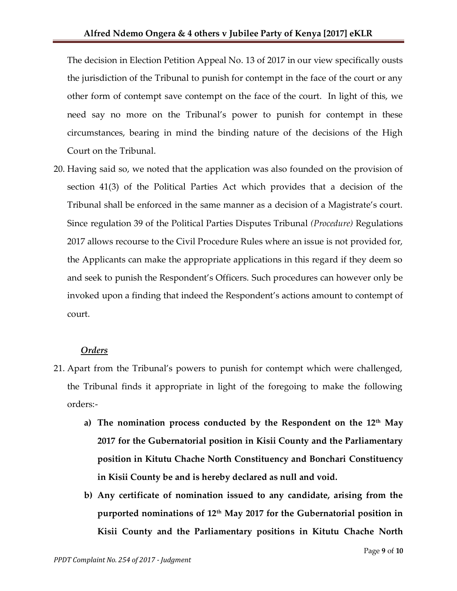The decision in Election Petition Appeal No. 13 of 2017 in our view specifically ousts the jurisdiction of the Tribunal to punish for contempt in the face of the court or any other form of contempt save contempt on the face of the court. In light of this, we need say no more on the Tribunal's power to punish for contempt in these circumstances, bearing in mind the binding nature of the decisions of the High Court on the Tribunal.

20. Having said so, we noted that the application was also founded on the provision of section 41(3) of the Political Parties Act which provides that a decision of the Tribunal shall be enforced in the same manner as a decision of a Magistrate's court. Since regulation 39 of the Political Parties Disputes Tribunal *(Procedure)* Regulations 2017 allows recourse to the Civil Procedure Rules where an issue is not provided for, the Applicants can make the appropriate applications in this regard if they deem so and seek to punish the Respondent's Officers. Such procedures can however only be invoked upon a finding that indeed the Respondent's actions amount to contempt of court.

#### *Orders*

- 21. Apart from the Tribunal's powers to punish for contempt which were challenged, the Tribunal finds it appropriate in light of the foregoing to make the following orders:
	- **a) The nomination process conducted by the Respondent on the 12th May 2017 for the Gubernatorial position in Kisii County and the Parliamentary position in Kitutu Chache North Constituency and Bonchari Constituency in Kisii County be and is hereby declared as null and void.**
	- **b) Any certificate of nomination issued to any candidate, arising from the purported nominations of 12th May 2017 for the Gubernatorial position in Kisii County and the Parliamentary positions in Kitutu Chache North**